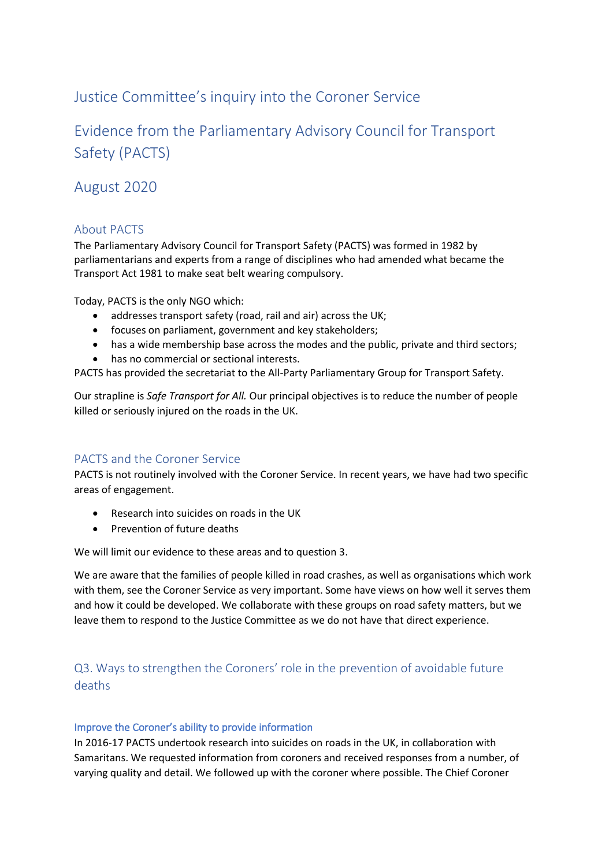# Justice Committee's inquiry into the Coroner Service

Evidence from the Parliamentary Advisory Council for Transport Safety (PACTS)

# August 2020

### About PACTS

The Parliamentary Advisory Council for Transport Safety (PACTS) was formed in 1982 by parliamentarians and experts from a range of disciplines who had amended what became the Transport Act 1981 to make seat belt wearing compulsory.

Today, PACTS is the only NGO which:

- addresses transport safety (road, rail and air) across the UK;
- focuses on parliament, government and key stakeholders;
- has a wide membership base across the modes and the public, private and third sectors;
- has no commercial or sectional interests.

PACTS has provided the secretariat to the All-Party Parliamentary Group for Transport Safety.

Our strapline is *Safe Transport for All.* Our principal objectives is to reduce the number of people killed or seriously injured on the roads in the UK.

### PACTS and the Coroner Service

PACTS is not routinely involved with the Coroner Service. In recent years, we have had two specific areas of engagement.

- Research into suicides on roads in the UK
- Prevention of future deaths

We will limit our evidence to these areas and to question 3.

We are aware that the families of people killed in road crashes, as well as organisations which work with them, see the Coroner Service as very important. Some have views on how well it serves them and how it could be developed. We collaborate with these groups on road safety matters, but we leave them to respond to the Justice Committee as we do not have that direct experience.

# Q3. Ways to strengthen the Coroners' role in the prevention of avoidable future deaths

#### Improve the Coroner's ability to provide information

In 2016-17 PACTS undertook research into suicides on roads in the UK, in collaboration with Samaritans. We requested information from coroners and received responses from a number, of varying quality and detail. We followed up with the coroner where possible. The Chief Coroner